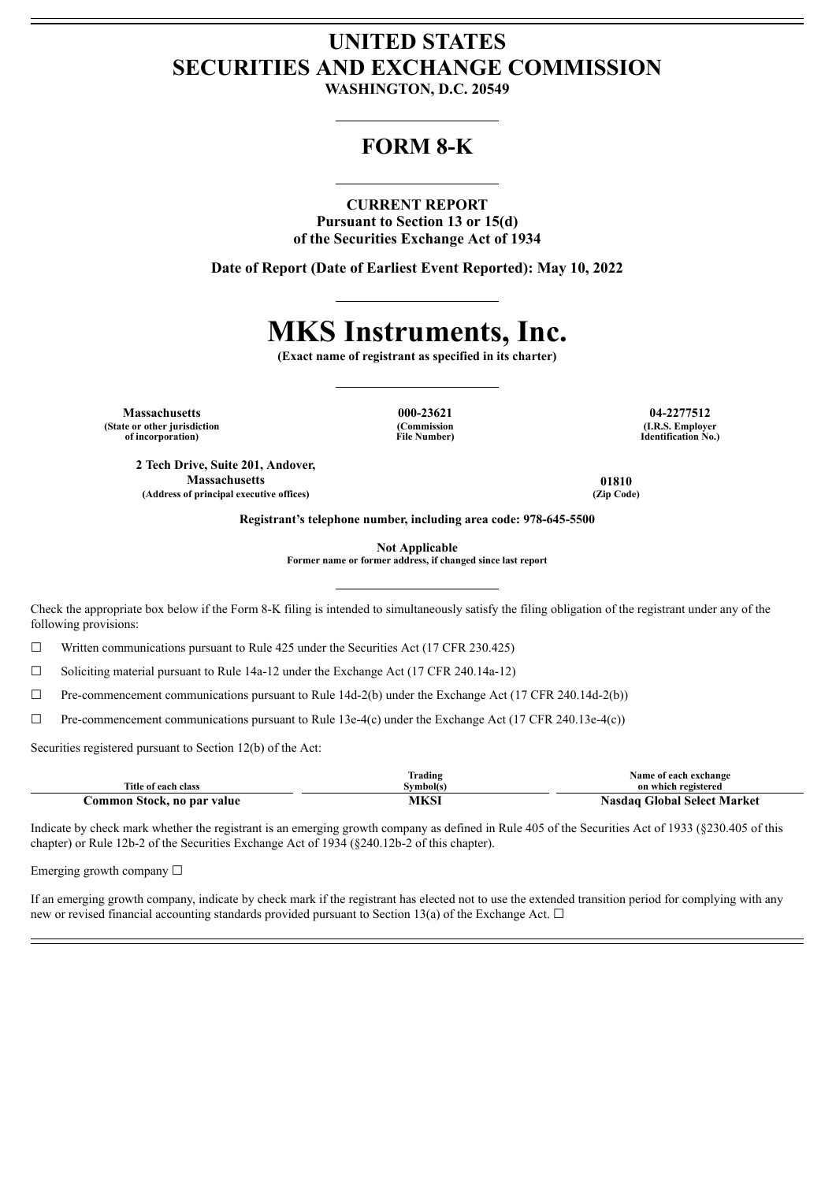## **UNITED STATES SECURITIES AND EXCHANGE COMMISSION**

**WASHINGTON, D.C. 20549**

## **FORM 8-K**

#### **CURRENT REPORT**

**Pursuant to Section 13 or 15(d) of the Securities Exchange Act of 1934**

**Date of Report (Date of Earliest Event Reported): May 10, 2022**

# **MKS Instruments, Inc.**

**(Exact name of registrant as specified in its charter)**

**Massachusetts 000-23621 04-2277512 (State or other jurisdiction of incorporation)**

**2 Tech Drive, Suite 201, Andover,**

**(Commission File Number)**

**(I.R.S. Employer Identification No.)**

**Massachusetts 01810 (Address of principal executive offices) (Zip Code)**

**Registrant's telephone number, including area code: 978-645-5500**

**Not Applicable**

**Former name or former address, if changed since last report**

Check the appropriate box below if the Form 8-K filing is intended to simultaneously satisfy the filing obligation of the registrant under any of the following provisions:

 $\Box$  Written communications pursuant to Rule 425 under the Securities Act (17 CFR 230.425)

☐ Soliciting material pursuant to Rule 14a-12 under the Exchange Act (17 CFR 240.14a-12)

 $\Box$  Pre-commencement communications pursuant to Rule 14d-2(b) under the Exchange Act (17 CFR 240.14d-2(b))

 $\Box$  Pre-commencement communications pursuant to Rule 13e-4(c) under the Exchange Act (17 CFR 240.13e-4(c))

Securities registered pursuant to Section 12(b) of the Act:

|                            | lrading  | Name of each exchange              |
|----------------------------|----------|------------------------------------|
| Title of each class        | Svmbol(s | on which registered                |
| Common Stock, no par value | MKSI     | <b>Nasdaq Global Select Market</b> |

Indicate by check mark whether the registrant is an emerging growth company as defined in Rule 405 of the Securities Act of 1933 (§230.405 of this chapter) or Rule 12b-2 of the Securities Exchange Act of 1934 (§240.12b-2 of this chapter).

Emerging growth company  $\Box$ 

If an emerging growth company, indicate by check mark if the registrant has elected not to use the extended transition period for complying with any new or revised financial accounting standards provided pursuant to Section 13(a) of the Exchange Act.  $\Box$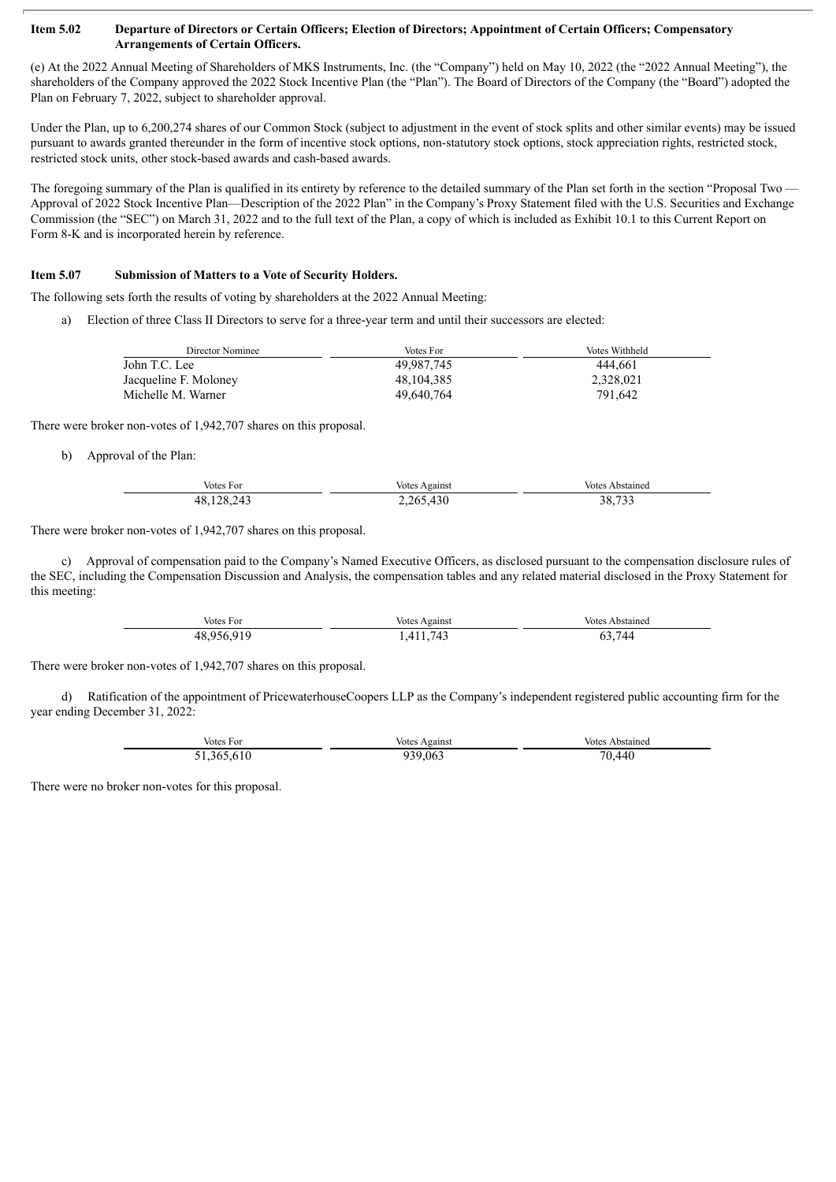#### Item 5.02 Departure of Directors or Certain Officers; Election of Directors; Appointment of Certain Officers; Compensatory **Arrangements of Certain Officers.**

(e) At the 2022 Annual Meeting of Shareholders of MKS Instruments, Inc. (the "Company") held on May 10, 2022 (the "2022 Annual Meeting"), the shareholders of the Company approved the 2022 Stock Incentive Plan (the "Plan"). The Board of Directors of the Company (the "Board") adopted the Plan on February 7, 2022, subject to shareholder approval.

Under the Plan, up to 6,200,274 shares of our Common Stock (subject to adjustment in the event of stock splits and other similar events) may be issued pursuant to awards granted thereunder in the form of incentive stock options, non-statutory stock options, stock appreciation rights, restricted stock, restricted stock units, other stock-based awards and cash-based awards.

The foregoing summary of the Plan is qualified in its entirety by reference to the detailed summary of the Plan set forth in the section "Proposal Two — Approval of 2022 Stock Incentive Plan—Description of the 2022 Plan" in the Company's Proxy Statement filed with the U.S. Securities and Exchange Commission (the "SEC") on March 31, 2022 and to the full text of the Plan, a copy of which is included as Exhibit 10.1 to this Current Report on Form 8-K and is incorporated herein by reference.

#### **Item 5.07 Submission of Matters to a Vote of Security Holders.**

The following sets forth the results of voting by shareholders at the 2022 Annual Meeting:

a) Election of three Class II Directors to serve for a three-year term and until their successors are elected:

| Director Nominee      | Votes For  | Votes Withheld |
|-----------------------|------------|----------------|
| John T.C. Lee         | 49.987.745 | 444.661        |
| Jacqueline F. Moloney | 48.104.385 | 2.328.021      |
| Michelle M. Warner    | 49.640.764 | 791.642        |

There were broker non-votes of 1,942,707 shares on this proposal.

b) Approval of the Plan:

| Votes For  | Votes Against | <b>Votes Abstained</b> |
|------------|---------------|------------------------|
| 48,128,243 | 2,265,430     | $\sim$ $\sim$<br>38.   |

#### There were broker non-votes of 1,942,707 shares on this proposal.

c) Approval of compensation paid to the Company's Named Executive Officers, as disclosed pursuant to the compensation disclosure rules of the SEC, including the Compensation Discussion and Analysis, the compensation tables and any related material disclosed in the Proxy Statement for this meeting:

| Votes For | Against<br>votes        | <b>Votes</b><br>Abstaineo |
|-----------|-------------------------|---------------------------|
| 48        | Μ<br>--<br>. <i>. .</i> | $\prime\prime\prime$<br>ᆩ |

There were broker non-votes of 1,942,707 shares on this proposal.

d) Ratification of the appointment of PricewaterhouseCoopers LLP as the Company's independent registered public accounting firm for the year ending December 31, 2022:

| Votes For   | Votes Against | Votes Abstained |
|-------------|---------------|-----------------|
| .610<br>365 | 939.063       | 70<br>440       |

There were no broker non-votes for this proposal.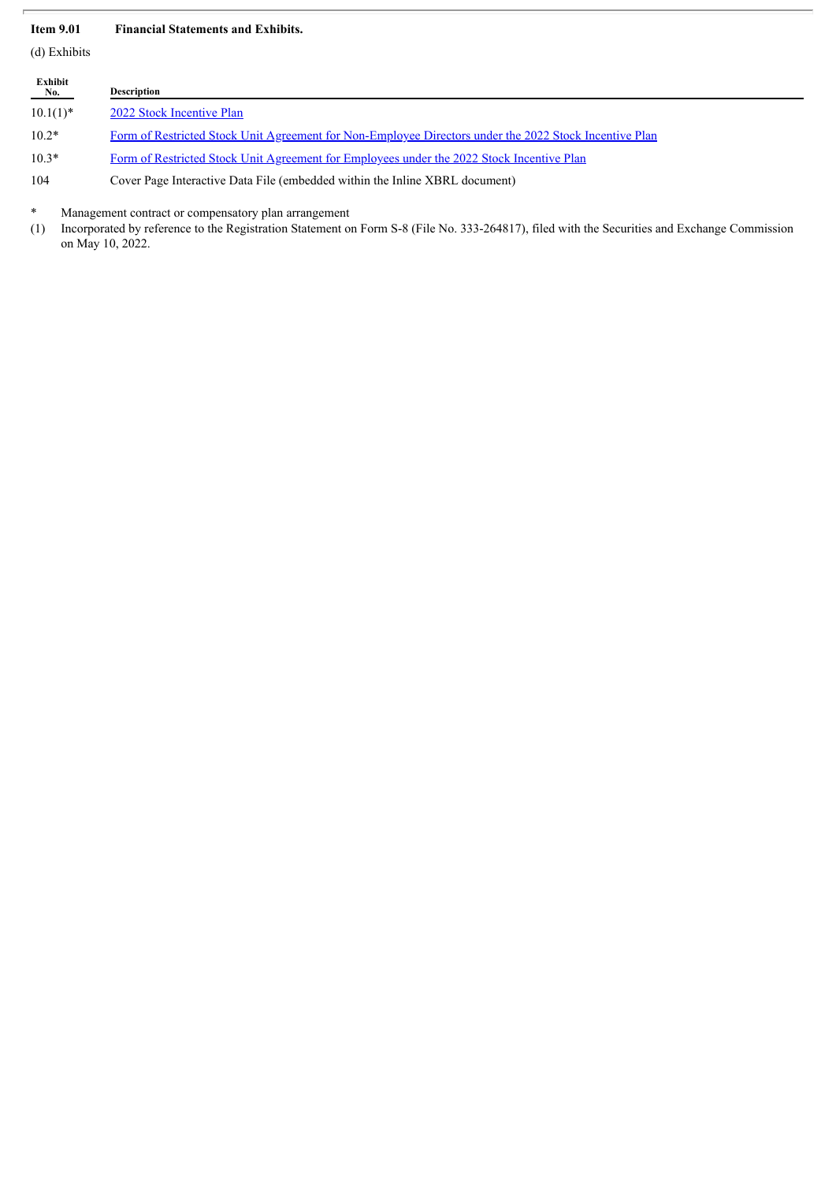#### **Item 9.01 Financial Statements and Exhibits.**

(d) Exhibits

| Exhibit<br>No. | <b>Description</b>                                                                                     |
|----------------|--------------------------------------------------------------------------------------------------------|
| $10.1(1)$ *    | 2022 Stock Incentive Plan                                                                              |
| $10.2*$        | Form of Restricted Stock Unit Agreement for Non-Employee Directors under the 2022 Stock Incentive Plan |
| $10.3*$        | Form of Restricted Stock Unit Agreement for Employees under the 2022 Stock Incentive Plan              |

104 Cover Page Interactive Data File (embedded within the Inline XBRL document)

Management contract or compensatory plan arrangement

(1) Incorporated by reference to the Registration Statement on Form S-8 (File No. 333-264817), filed with the Securities and Exchange Commission on May 10, 2022.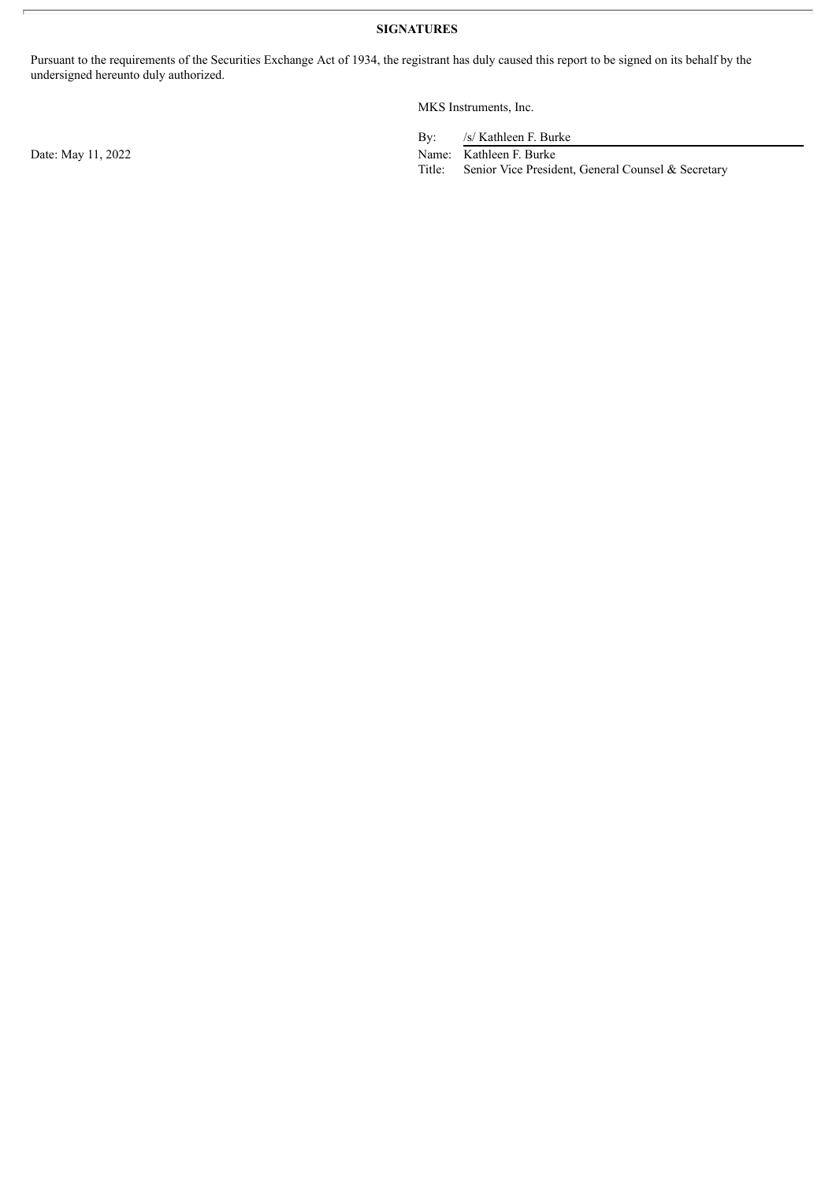**SIGNATURES**

Pursuant to the requirements of the Securities Exchange Act of 1934, the registrant has duly caused this report to be signed on its behalf by the undersigned hereunto duly authorized.

MKS Instruments, Inc.

By: /s/ Kathleen F. Burke

Date: May 11, 2022 Name: Kathleen F. Burke

Title: Senior Vice President, General Counsel & Secretary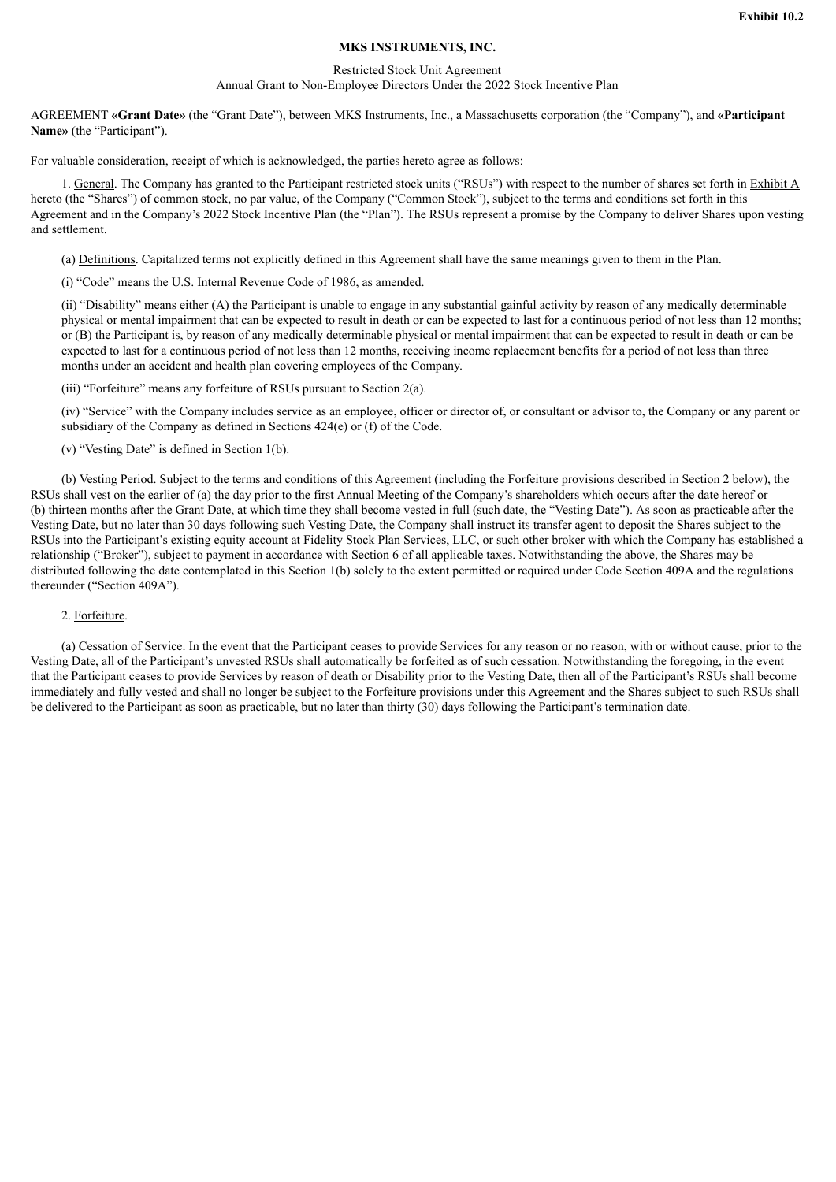#### **MKS INSTRUMENTS, INC.**

#### Restricted Stock Unit Agreement

#### Annual Grant to Non-Employee Directors Under the 2022 Stock Incentive Plan

<span id="page-4-0"></span>AGREEMENT **«Grant Date»** (the "Grant Date"), between MKS Instruments, Inc., a Massachusetts corporation (the "Company"), and **«Participant Name»** (the "Participant").

For valuable consideration, receipt of which is acknowledged, the parties hereto agree as follows:

1. General. The Company has granted to the Participant restricted stock units ("RSUs") with respect to the number of shares set forth in Exhibit A hereto (the "Shares") of common stock, no par value, of the Company ("Common Stock"), subject to the terms and conditions set forth in this Agreement and in the Company's 2022 Stock Incentive Plan (the "Plan"). The RSUs represent a promise by the Company to deliver Shares upon vesting and settlement.

(a) Definitions. Capitalized terms not explicitly defined in this Agreement shall have the same meanings given to them in the Plan.

(i) "Code" means the U.S. Internal Revenue Code of 1986, as amended.

(ii) "Disability" means either (A) the Participant is unable to engage in any substantial gainful activity by reason of any medically determinable physical or mental impairment that can be expected to result in death or can be expected to last for a continuous period of not less than 12 months; or (B) the Participant is, by reason of any medically determinable physical or mental impairment that can be expected to result in death or can be expected to last for a continuous period of not less than 12 months, receiving income replacement benefits for a period of not less than three months under an accident and health plan covering employees of the Company.

(iii) "Forfeiture" means any forfeiture of RSUs pursuant to Section 2(a).

(iv) "Service" with the Company includes service as an employee, officer or director of, or consultant or advisor to, the Company or any parent or subsidiary of the Company as defined in Sections 424(e) or (f) of the Code.

(v) "Vesting Date" is defined in Section 1(b).

(b) Vesting Period. Subject to the terms and conditions of this Agreement (including the Forfeiture provisions described in Section 2 below), the RSUs shall vest on the earlier of (a) the day prior to the first Annual Meeting of the Company's shareholders which occurs after the date hereof or (b) thirteen months after the Grant Date, at which time they shall become vested in full (such date, the "Vesting Date"). As soon as practicable after the Vesting Date, but no later than 30 days following such Vesting Date, the Company shall instruct its transfer agent to deposit the Shares subject to the RSUs into the Participant's existing equity account at Fidelity Stock Plan Services, LLC, or such other broker with which the Company has established a relationship ("Broker"), subject to payment in accordance with Section 6 of all applicable taxes. Notwithstanding the above, the Shares may be distributed following the date contemplated in this Section 1(b) solely to the extent permitted or required under Code Section 409A and the regulations thereunder ("Section 409A").

#### 2. Forfeiture.

(a) Cessation of Service. In the event that the Participant ceases to provide Services for any reason or no reason, with or without cause, prior to the Vesting Date, all of the Participant's unvested RSUs shall automatically be forfeited as of such cessation. Notwithstanding the foregoing, in the event that the Participant ceases to provide Services by reason of death or Disability prior to the Vesting Date, then all of the Participant's RSUs shall become immediately and fully vested and shall no longer be subject to the Forfeiture provisions under this Agreement and the Shares subject to such RSUs shall be delivered to the Participant as soon as practicable, but no later than thirty (30) days following the Participant's termination date.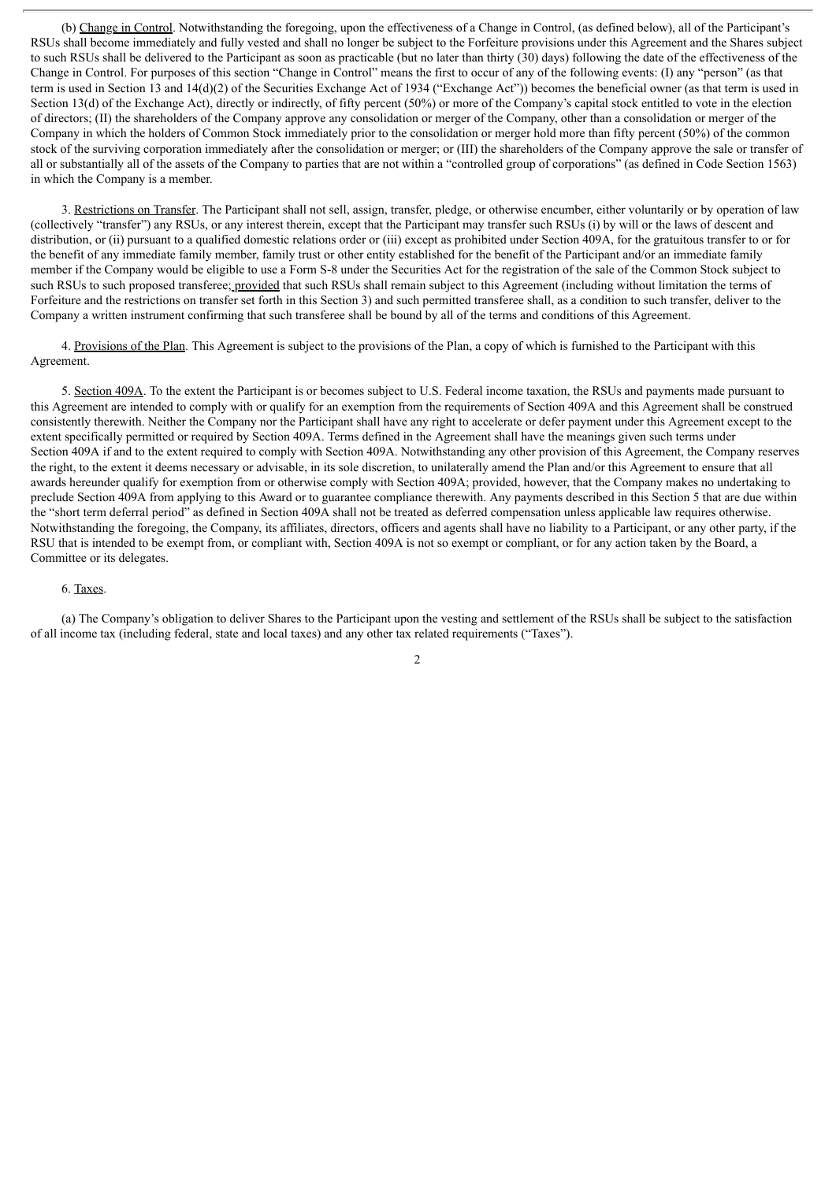(b) Change in Control. Notwithstanding the foregoing, upon the effectiveness of a Change in Control, (as defined below), all of the Participant's RSUs shall become immediately and fully vested and shall no longer be subject to the Forfeiture provisions under this Agreement and the Shares subject to such RSUs shall be delivered to the Participant as soon as practicable (but no later than thirty (30) days) following the date of the effectiveness of the Change in Control. For purposes of this section "Change in Control" means the first to occur of any of the following events: (I) any "person" (as that term is used in Section 13 and 14(d)(2) of the Securities Exchange Act of 1934 ("Exchange Act")) becomes the beneficial owner (as that term is used in Section 13(d) of the Exchange Act), directly or indirectly, of fifty percent (50%) or more of the Company's capital stock entitled to vote in the election of directors; (II) the shareholders of the Company approve any consolidation or merger of the Company, other than a consolidation or merger of the Company in which the holders of Common Stock immediately prior to the consolidation or merger hold more than fifty percent (50%) of the common stock of the surviving corporation immediately after the consolidation or merger; or (III) the shareholders of the Company approve the sale or transfer of all or substantially all of the assets of the Company to parties that are not within a "controlled group of corporations" (as defined in Code Section 1563) in which the Company is a member.

3. Restrictions on Transfer. The Participant shall not sell, assign, transfer, pledge, or otherwise encumber, either voluntarily or by operation of law (collectively "transfer") any RSUs, or any interest therein, except that the Participant may transfer such RSUs (i) by will or the laws of descent and distribution, or (ii) pursuant to a qualified domestic relations order or (iii) except as prohibited under Section 409A, for the gratuitous transfer to or for the benefit of any immediate family member, family trust or other entity established for the benefit of the Participant and/or an immediate family member if the Company would be eligible to use a Form S-8 under the Securities Act for the registration of the sale of the Common Stock subject to such RSUs to such proposed transferee; provided that such RSUs shall remain subject to this Agreement (including without limitation the terms of Forfeiture and the restrictions on transfer set forth in this Section 3) and such permitted transferee shall, as a condition to such transfer, deliver to the Company a written instrument confirming that such transferee shall be bound by all of the terms and conditions of this Agreement.

4. Provisions of the Plan. This Agreement is subject to the provisions of the Plan, a copy of which is furnished to the Participant with this Agreement.

5. Section 409A. To the extent the Participant is or becomes subject to U.S. Federal income taxation, the RSUs and payments made pursuant to this Agreement are intended to comply with or qualify for an exemption from the requirements of Section 409A and this Agreement shall be construed consistently therewith. Neither the Company nor the Participant shall have any right to accelerate or defer payment under this Agreement except to the extent specifically permitted or required by Section 409A. Terms defined in the Agreement shall have the meanings given such terms under Section 409A if and to the extent required to comply with Section 409A. Notwithstanding any other provision of this Agreement, the Company reserves the right, to the extent it deems necessary or advisable, in its sole discretion, to unilaterally amend the Plan and/or this Agreement to ensure that all awards hereunder qualify for exemption from or otherwise comply with Section 409A; provided, however, that the Company makes no undertaking to preclude Section 409A from applying to this Award or to guarantee compliance therewith. Any payments described in this Section 5 that are due within the "short term deferral period" as defined in Section 409A shall not be treated as deferred compensation unless applicable law requires otherwise. Notwithstanding the foregoing, the Company, its affiliates, directors, officers and agents shall have no liability to a Participant, or any other party, if the RSU that is intended to be exempt from, or compliant with, Section 409A is not so exempt or compliant, or for any action taken by the Board, a Committee or its delegates.

#### 6. Taxes.

(a) The Company's obligation to deliver Shares to the Participant upon the vesting and settlement of the RSUs shall be subject to the satisfaction of all income tax (including federal, state and local taxes) and any other tax related requirements ("Taxes").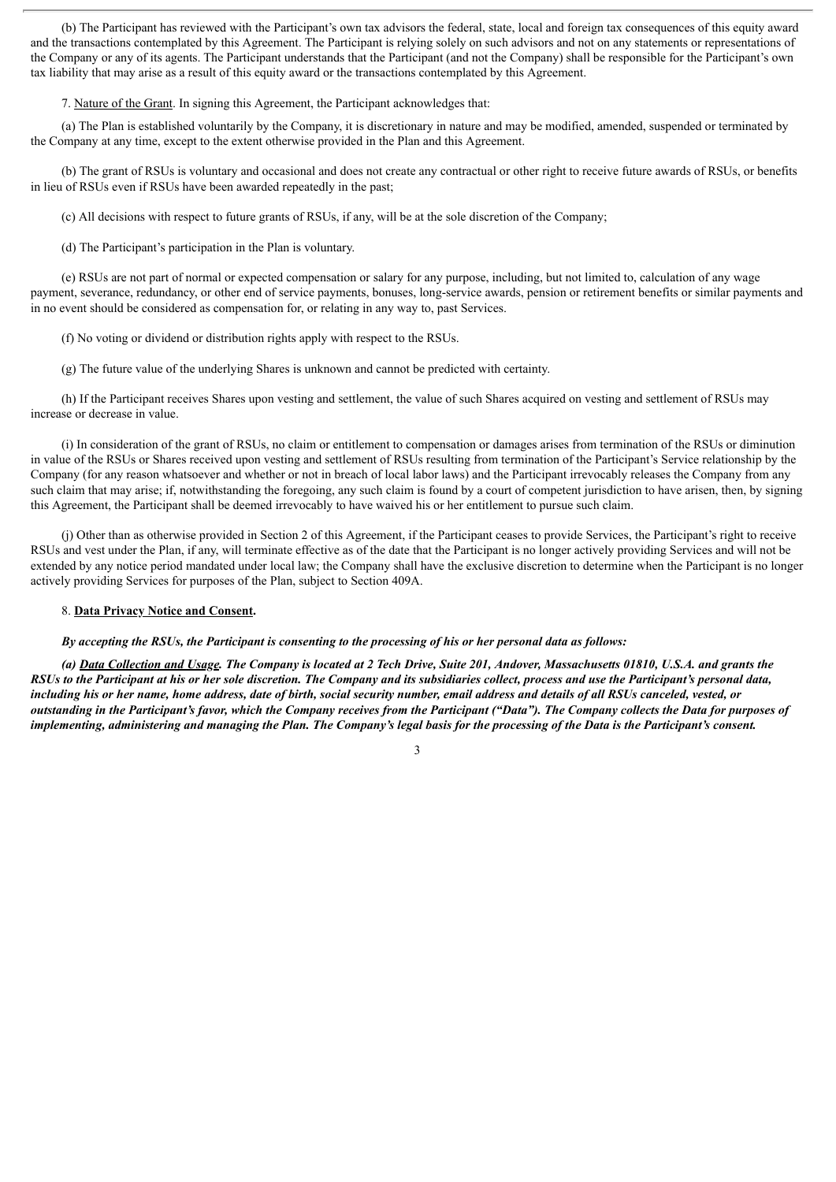(b) The Participant has reviewed with the Participant's own tax advisors the federal, state, local and foreign tax consequences of this equity award and the transactions contemplated by this Agreement. The Participant is relying solely on such advisors and not on any statements or representations of the Company or any of its agents. The Participant understands that the Participant (and not the Company) shall be responsible for the Participant's own tax liability that may arise as a result of this equity award or the transactions contemplated by this Agreement.

7. Nature of the Grant. In signing this Agreement, the Participant acknowledges that:

(a) The Plan is established voluntarily by the Company, it is discretionary in nature and may be modified, amended, suspended or terminated by the Company at any time, except to the extent otherwise provided in the Plan and this Agreement.

(b) The grant of RSUs is voluntary and occasional and does not create any contractual or other right to receive future awards of RSUs, or benefits in lieu of RSUs even if RSUs have been awarded repeatedly in the past;

(c) All decisions with respect to future grants of RSUs, if any, will be at the sole discretion of the Company;

(d) The Participant's participation in the Plan is voluntary.

(e) RSUs are not part of normal or expected compensation or salary for any purpose, including, but not limited to, calculation of any wage payment, severance, redundancy, or other end of service payments, bonuses, long-service awards, pension or retirement benefits or similar payments and in no event should be considered as compensation for, or relating in any way to, past Services.

(f) No voting or dividend or distribution rights apply with respect to the RSUs.

(g) The future value of the underlying Shares is unknown and cannot be predicted with certainty.

(h) If the Participant receives Shares upon vesting and settlement, the value of such Shares acquired on vesting and settlement of RSUs may increase or decrease in value.

(i) In consideration of the grant of RSUs, no claim or entitlement to compensation or damages arises from termination of the RSUs or diminution in value of the RSUs or Shares received upon vesting and settlement of RSUs resulting from termination of the Participant's Service relationship by the Company (for any reason whatsoever and whether or not in breach of local labor laws) and the Participant irrevocably releases the Company from any such claim that may arise; if, notwithstanding the foregoing, any such claim is found by a court of competent jurisdiction to have arisen, then, by signing this Agreement, the Participant shall be deemed irrevocably to have waived his or her entitlement to pursue such claim.

(j) Other than as otherwise provided in Section 2 of this Agreement, if the Participant ceases to provide Services, the Participant's right to receive RSUs and vest under the Plan, if any, will terminate effective as of the date that the Participant is no longer actively providing Services and will not be extended by any notice period mandated under local law; the Company shall have the exclusive discretion to determine when the Participant is no longer actively providing Services for purposes of the Plan, subject to Section 409A.

#### 8. **Data Privacy Notice and Consent.**

#### By accepting the RSUs, the Participant is consenting to the processing of his or her personal data as follows:

(a) Data Collection and Usage. The Company is located at 2 Tech Drive, Suite 201, Andover, Massachusetts 01810, U.S.A. and grants the RSUs to the Participant at his or her sole discretion. The Company and its subsidiaries collect, process and use the Participant's personal data, including his or her name, home address, date of birth, social security number, email address and details of all RSUs canceled, vested, or outstanding in the Participant's favor, which the Company receives from the Participant ("Data"). The Company collects the Data for purposes of implementing, administering and managing the Plan. The Company's legal basis for the processing of the Data is the Participant's consent.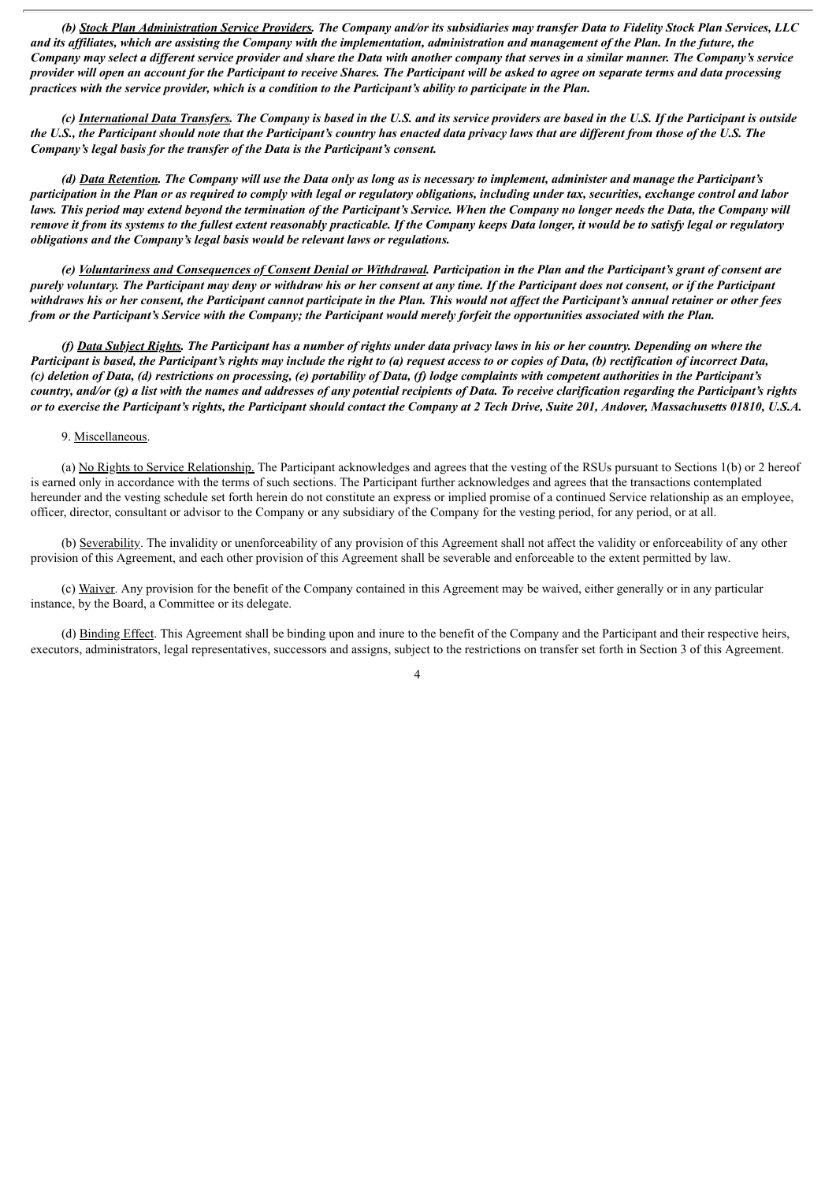(b) Stock Plan Administration Service Providers. The Company and/or its subsidiaries may transfer Data to Fidelity Stock Plan Services, LLC and its affiliates, which are assisting the Company with the implementation, administration and management of the Plan. In the future, the Company may select a different service provider and share the Data with another company that serves in a similar manner. The Company's service provider will open an account for the Participant to receive Shares. The Participant will be asked to agree on separate terms and data processing practices with the service provider, which is a condition to the Participant's ability to participate in the Plan.

(c) International Data Transfers. The Company is based in the U.S. and its service providers are based in the U.S. If the Participant is outside the U.S., the Participant should note that the Participant's country has enacted data privacy laws that are different from those of the U.S. The *Company's legal basis for the transfer of the Data is the Participant's consent.*

(d) Data Retention. The Company will use the Data only as long as is necessary to implement, administer and manage the Participant's participation in the Plan or as required to comply with legal or regulatory obligations, including under tax, securities, exchange control and labor laws. This period may extend beyond the termination of the Participant's Service. When the Company no longer needs the Data, the Company will remove it from its systems to the fullest extent reasonably practicable. If the Company keeps Data longer, it would be to satisfy legal or regulatory *obligations and the Company's legal basis would be relevant laws or regulations.*

(e) Voluntariness and Consequences of Consent Denial or Withdrawal. Participation in the Plan and the Participant's grant of consent are purely voluntary. The Participant may deny or withdraw his or her consent at any time. If the Participant does not consent, or if the Participant withdraws his or her consent, the Participant cannot participate in the Plan. This would not affect the Participant's annual retainer or other fees from or the Participant's Service with the Company; the Participant would merely forfeit the opportunities associated with the Plan.

(f) Data Subject Rights. The Participant has a number of rights under data privacy laws in his or her country. Depending on where the Participant is based, the Participant's rights may include the right to (a) request access to or copies of Data, (b) rectification of incorrect Data, (c) deletion of Data, (d) restrictions on processing, (e) portability of Data, (f) lodge complaints with competent authorities in the Participant's country, and/or (g) a list with the names and addresses of any potential recipients of Data. To receive clarification regarding the Participant's rights or to exercise the Participant's rights, the Participant should contact the Company at 2 Tech Drive, Suite 201, Andover, Massachusetts 01810, U.S.A.

#### 9. Miscellaneous.

(a) No Rights to Service Relationship. The Participant acknowledges and agrees that the vesting of the RSUs pursuant to Sections 1(b) or 2 hereof is earned only in accordance with the terms of such sections. The Participant further acknowledges and agrees that the transactions contemplated hereunder and the vesting schedule set forth herein do not constitute an express or implied promise of a continued Service relationship as an employee, officer, director, consultant or advisor to the Company or any subsidiary of the Company for the vesting period, for any period, or at all.

(b) Severability. The invalidity or unenforceability of any provision of this Agreement shall not affect the validity or enforceability of any other provision of this Agreement, and each other provision of this Agreement shall be severable and enforceable to the extent permitted by law.

(c) Waiver. Any provision for the benefit of the Company contained in this Agreement may be waived, either generally or in any particular instance, by the Board, a Committee or its delegate.

(d) Binding Effect. This Agreement shall be binding upon and inure to the benefit of the Company and the Participant and their respective heirs, executors, administrators, legal representatives, successors and assigns, subject to the restrictions on transfer set forth in Section 3 of this Agreement.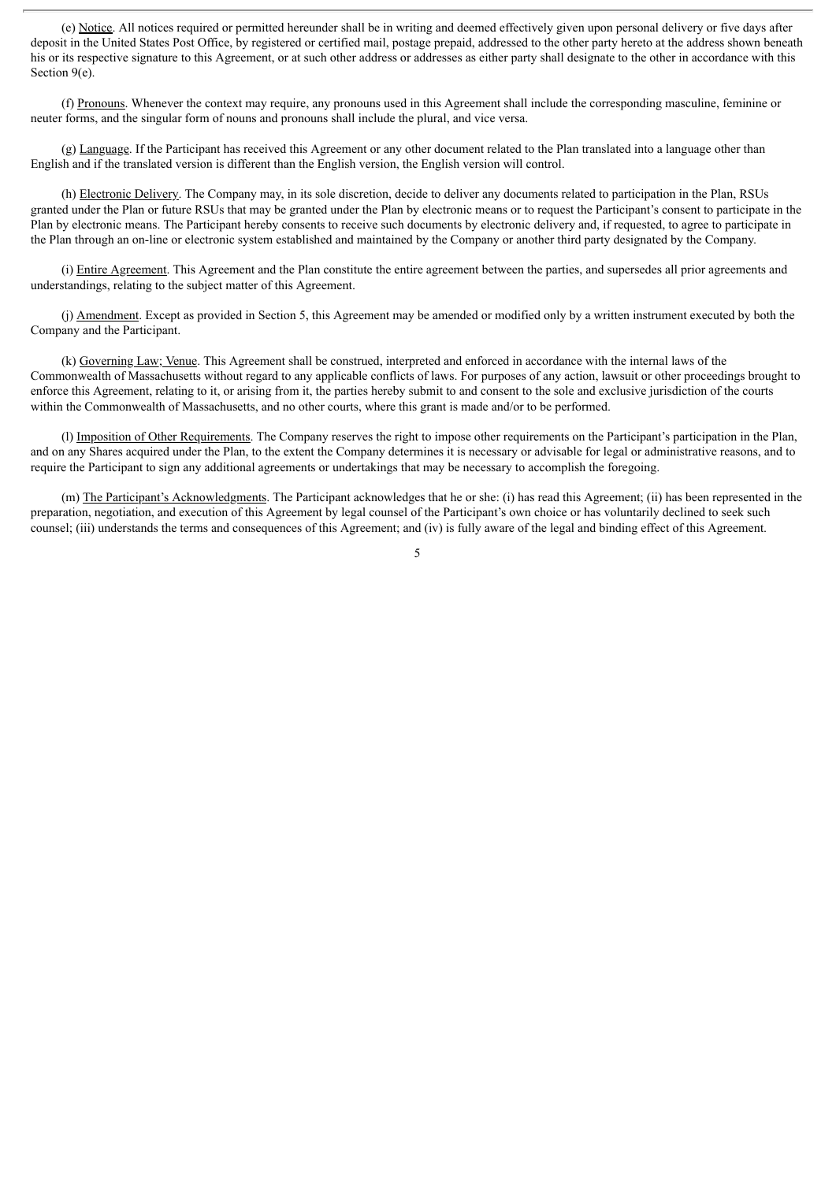(e) Notice. All notices required or permitted hereunder shall be in writing and deemed effectively given upon personal delivery or five days after deposit in the United States Post Office, by registered or certified mail, postage prepaid, addressed to the other party hereto at the address shown beneath his or its respective signature to this Agreement, or at such other address or addresses as either party shall designate to the other in accordance with this Section 9(e).

(f) Pronouns. Whenever the context may require, any pronouns used in this Agreement shall include the corresponding masculine, feminine or neuter forms, and the singular form of nouns and pronouns shall include the plural, and vice versa.

(g) Language. If the Participant has received this Agreement or any other document related to the Plan translated into a language other than English and if the translated version is different than the English version, the English version will control.

(h) Electronic Delivery. The Company may, in its sole discretion, decide to deliver any documents related to participation in the Plan, RSUs granted under the Plan or future RSUs that may be granted under the Plan by electronic means or to request the Participant's consent to participate in the Plan by electronic means. The Participant hereby consents to receive such documents by electronic delivery and, if requested, to agree to participate in the Plan through an on-line or electronic system established and maintained by the Company or another third party designated by the Company.

(i) Entire Agreement. This Agreement and the Plan constitute the entire agreement between the parties, and supersedes all prior agreements and understandings, relating to the subject matter of this Agreement.

(j) Amendment. Except as provided in Section 5, this Agreement may be amended or modified only by a written instrument executed by both the Company and the Participant.

(k) Governing Law; Venue. This Agreement shall be construed, interpreted and enforced in accordance with the internal laws of the Commonwealth of Massachusetts without regard to any applicable conflicts of laws. For purposes of any action, lawsuit or other proceedings brought to enforce this Agreement, relating to it, or arising from it, the parties hereby submit to and consent to the sole and exclusive jurisdiction of the courts within the Commonwealth of Massachusetts, and no other courts, where this grant is made and/or to be performed.

(l) Imposition of Other Requirements. The Company reserves the right to impose other requirements on the Participant's participation in the Plan, and on any Shares acquired under the Plan, to the extent the Company determines it is necessary or advisable for legal or administrative reasons, and to require the Participant to sign any additional agreements or undertakings that may be necessary to accomplish the foregoing.

(m) The Participant's Acknowledgments. The Participant acknowledges that he or she: (i) has read this Agreement; (ii) has been represented in the preparation, negotiation, and execution of this Agreement by legal counsel of the Participant's own choice or has voluntarily declined to seek such counsel; (iii) understands the terms and consequences of this Agreement; and (iv) is fully aware of the legal and binding effect of this Agreement.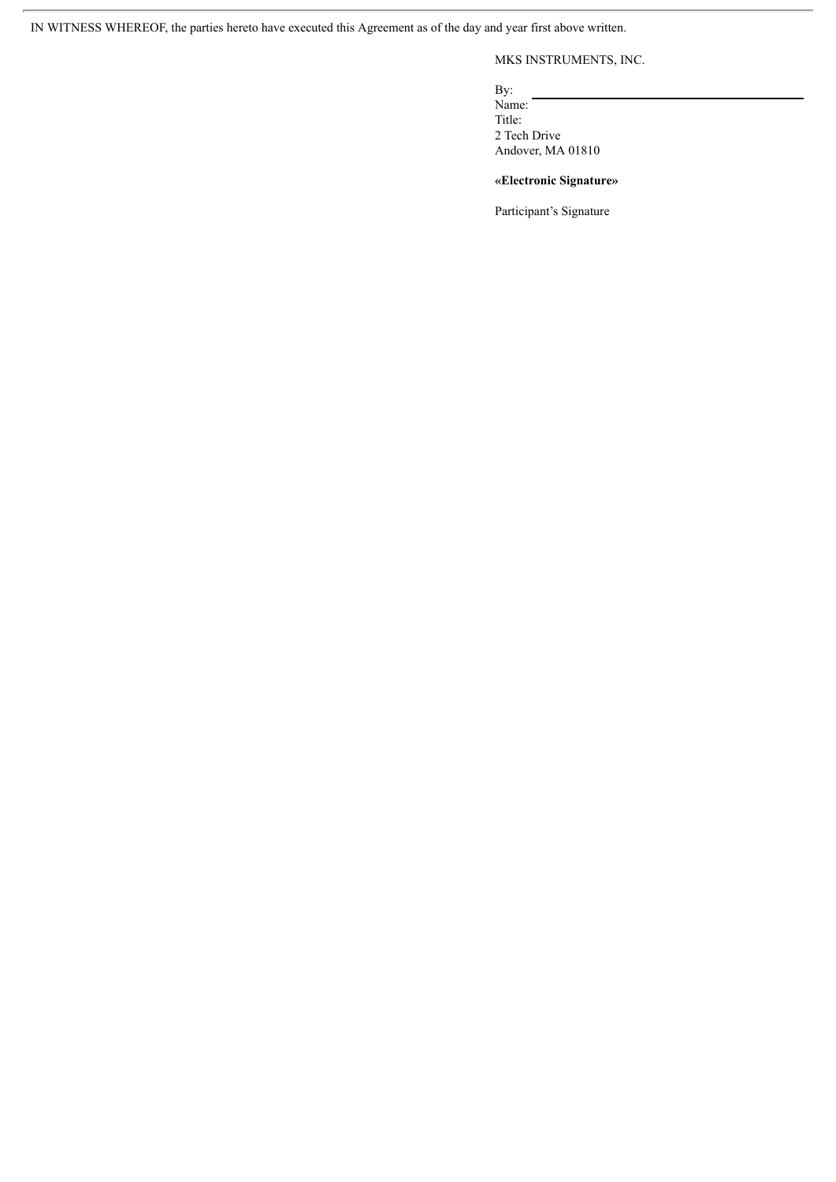IN WITNESS WHEREOF, the parties hereto have executed this Agreement as of the day and year first above written.

## MKS INSTRUMENTS, INC.

By:

Name: Title: 2 Tech Drive Andover, MA 01810

### **«Electronic Signature»**

Participant's Signature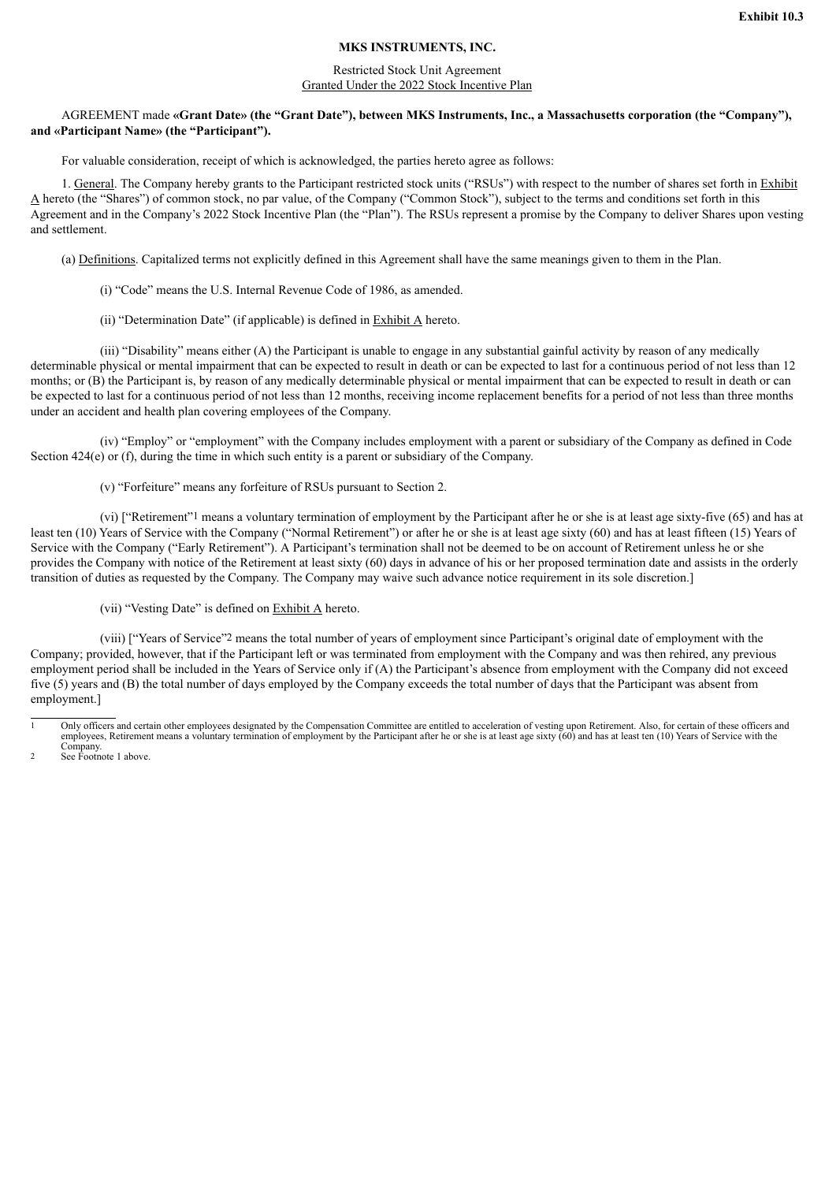#### **MKS INSTRUMENTS, INC.**

#### Restricted Stock Unit Agreement Granted Under the 2022 Stock Incentive Plan

#### <span id="page-10-0"></span>AGREEMENT made **«Grant Date» (the "Grant Date"), between MKS Instruments, Inc., a Massachusetts corporation (the "Company"), and «Participant Name» (the "Participant").**

For valuable consideration, receipt of which is acknowledged, the parties hereto agree as follows:

1. General. The Company hereby grants to the Participant restricted stock units ("RSUs") with respect to the number of shares set forth in Exhibit A hereto (the "Shares") of common stock, no par value, of the Company ("Common Stock"), subject to the terms and conditions set forth in this Agreement and in the Company's 2022 Stock Incentive Plan (the "Plan"). The RSUs represent a promise by the Company to deliver Shares upon vesting and settlement.

(a) Definitions. Capitalized terms not explicitly defined in this Agreement shall have the same meanings given to them in the Plan.

(i) "Code" means the U.S. Internal Revenue Code of 1986, as amended.

(ii) "Determination Date" (if applicable) is defined in Exhibit A hereto.

(iii) "Disability" means either (A) the Participant is unable to engage in any substantial gainful activity by reason of any medically determinable physical or mental impairment that can be expected to result in death or can be expected to last for a continuous period of not less than 12 months; or (B) the Participant is, by reason of any medically determinable physical or mental impairment that can be expected to result in death or can be expected to last for a continuous period of not less than 12 months, receiving income replacement benefits for a period of not less than three months under an accident and health plan covering employees of the Company.

(iv) "Employ" or "employment" with the Company includes employment with a parent or subsidiary of the Company as defined in Code Section 424(e) or (f), during the time in which such entity is a parent or subsidiary of the Company.

(v) "Forfeiture" means any forfeiture of RSUs pursuant to Section 2.

(vi) ["Retirement"1 means a voluntary termination of employment by the Participant after he or she is at least age sixty-five (65) and has at least ten (10) Years of Service with the Company ("Normal Retirement") or after he or she is at least age sixty (60) and has at least fifteen (15) Years of Service with the Company ("Early Retirement"). A Participant's termination shall not be deemed to be on account of Retirement unless he or she provides the Company with notice of the Retirement at least sixty (60) days in advance of his or her proposed termination date and assists in the orderly transition of duties as requested by the Company. The Company may waive such advance notice requirement in its sole discretion.]

(vii) "Vesting Date" is defined on Exhibit A hereto.

(viii) ["Years of Service"2 means the total number of years of employment since Participant's original date of employment with the Company; provided, however, that if the Participant left or was terminated from employment with the Company and was then rehired, any previous employment period shall be included in the Years of Service only if (A) the Participant's absence from employment with the Company did not exceed five (5) years and (B) the total number of days employed by the Company exceeds the total number of days that the Participant was absent from employment.]

<sup>1</sup> Only officers and certain other employees designated by the Compensation Committee are entitled to acceleration of vesting upon Retirement. Also, for certain of these officers and employees, Retirement means a voluntary termination of employment by the Participant after he or she is at least age sixty (60) and has at least ten (10) Years of Service with the

Company. 2 See Footnote 1 above.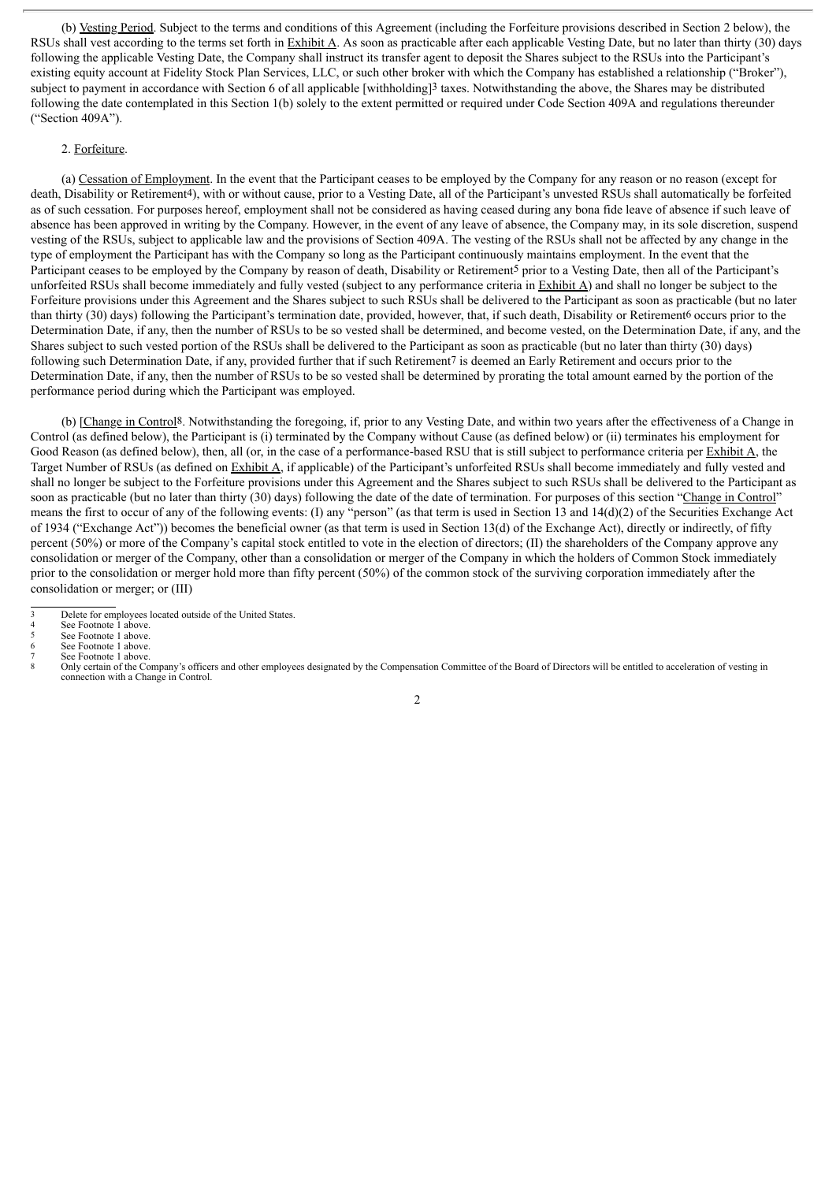(b) Vesting Period. Subject to the terms and conditions of this Agreement (including the Forfeiture provisions described in Section 2 below), the RSUs shall vest according to the terms set forth in  $\frac{Exhibit A}{A}$ . As soon as practicable after each applicable Vesting Date, but no later than thirty (30) days following the applicable Vesting Date, the Company shall instruct its transfer agent to deposit the Shares subject to the RSUs into the Participant's existing equity account at Fidelity Stock Plan Services, LLC, or such other broker with which the Company has established a relationship ("Broker"), subject to payment in accordance with Section 6 of all applicable [withholding]3 taxes. Notwithstanding the above, the Shares may be distributed following the date contemplated in this Section 1(b) solely to the extent permitted or required under Code Section 409A and regulations thereunder ("Section 409A").

#### 2. Forfeiture.

(a) Cessation of Employment. In the event that the Participant ceases to be employed by the Company for any reason or no reason (except for death, Disability or Retirement<sup>4</sup>), with or without cause, prior to a Vesting Date, all of the Participant's unvested RSUs shall automatically be forfeited as of such cessation. For purposes hereof, employment shall not be considered as having ceased during any bona fide leave of absence if such leave of absence has been approved in writing by the Company. However, in the event of any leave of absence, the Company may, in its sole discretion, suspend vesting of the RSUs, subject to applicable law and the provisions of Section 409A. The vesting of the RSUs shall not be affected by any change in the type of employment the Participant has with the Company so long as the Participant continuously maintains employment. In the event that the Participant ceases to be employed by the Company by reason of death, Disability or Retirement<sup>5</sup> prior to a Vesting Date, then all of the Participant's unforfeited RSUs shall become immediately and fully vested (subject to any performance criteria in Exhibit A) and shall no longer be subject to the Forfeiture provisions under this Agreement and the Shares subject to such RSUs shall be delivered to the Participant as soon as practicable (but no later than thirty (30) days) following the Participant's termination date, provided, however, that, if such death, Disability or Retirement6 occurs prior to the Determination Date, if any, then the number of RSUs to be so vested shall be determined, and become vested, on the Determination Date, if any, and the Shares subject to such vested portion of the RSUs shall be delivered to the Participant as soon as practicable (but no later than thirty (30) days) following such Determination Date, if any, provided further that if such Retirement7 is deemed an Early Retirement and occurs prior to the Determination Date, if any, then the number of RSUs to be so vested shall be determined by prorating the total amount earned by the portion of the performance period during which the Participant was employed.

(b) [Change in Control8. Notwithstanding the foregoing, if, prior to any Vesting Date, and within two years after the effectiveness of a Change in Control (as defined below), the Participant is (i) terminated by the Company without Cause (as defined below) or (ii) terminates his employment for Good Reason (as defined below), then, all (or, in the case of a performance-based RSU that is still subject to performance criteria per Exhibit A, the Target Number of RSUs (as defined on Exhibit A, if applicable) of the Participant's unforfeited RSUs shall become immediately and fully vested and shall no longer be subject to the Forfeiture provisions under this Agreement and the Shares subject to such RSUs shall be delivered to the Participant as soon as practicable (but no later than thirty (30) days) following the date of the date of termination. For purposes of this section "Change in Control" means the first to occur of any of the following events: (I) any "person" (as that term is used in Section 13 and 14(d)(2) of the Securities Exchange Act of 1934 ("Exchange Act")) becomes the beneficial owner (as that term is used in Section 13(d) of the Exchange Act), directly or indirectly, of fifty percent (50%) or more of the Company's capital stock entitled to vote in the election of directors; (II) the shareholders of the Company approve any consolidation or merger of the Company, other than a consolidation or merger of the Company in which the holders of Common Stock immediately prior to the consolidation or merger hold more than fifty percent (50%) of the common stock of the surviving corporation immediately after the consolidation or merger; or (III)

<sup>3</sup> Delete for employees located outside of the United States.<br>4 See Footnote 1 above

See Footnote 1 above. See Footnote 1 above.

See Footnote 1 above.

See Footnote 1 above.

Only certain of the Company's officers and other employees designated by the Compensation Committee of the Board of Directors will be entitled to acceleration of vesting in

connection with a Change in Control.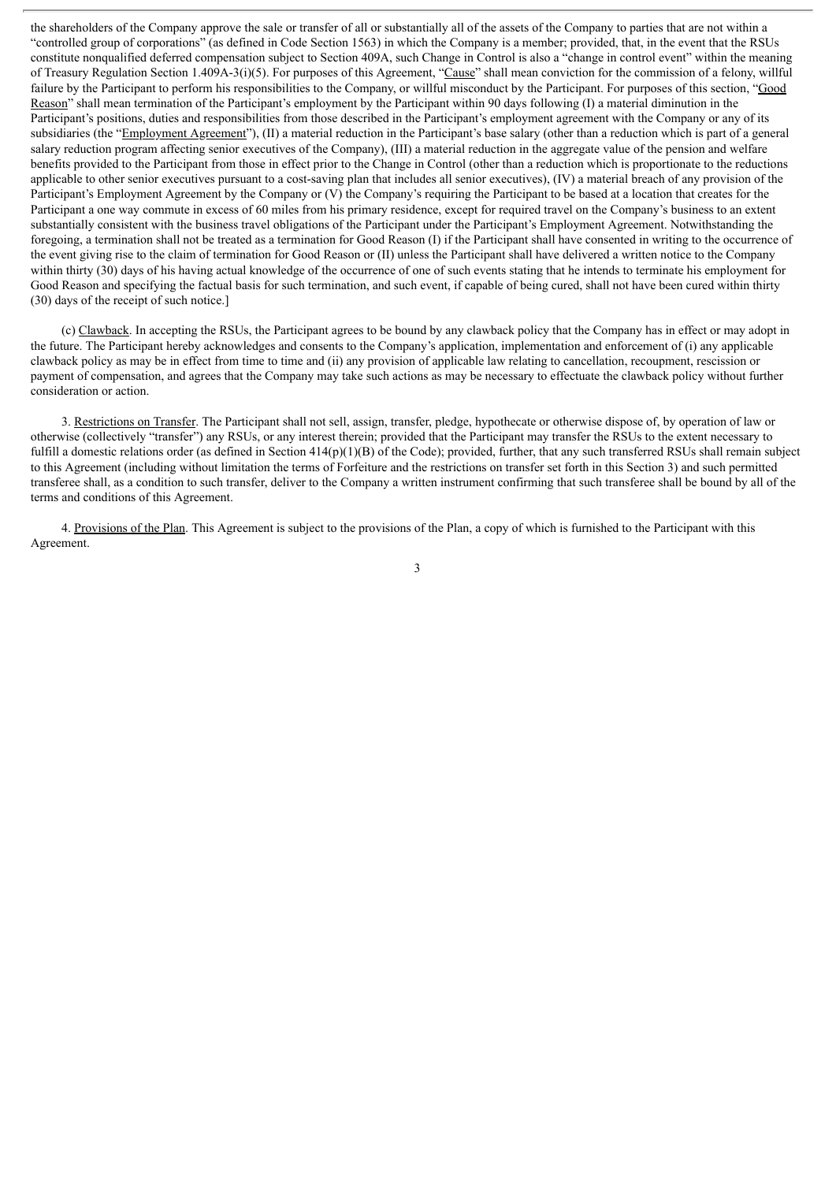the shareholders of the Company approve the sale or transfer of all or substantially all of the assets of the Company to parties that are not within a "controlled group of corporations" (as defined in Code Section 1563) in which the Company is a member; provided, that, in the event that the RSUs constitute nonqualified deferred compensation subject to Section 409A, such Change in Control is also a "change in control event" within the meaning of Treasury Regulation Section 1.409A-3(i)(5). For purposes of this Agreement, "Cause" shall mean conviction for the commission of a felony, willful failure by the Participant to perform his responsibilities to the Company, or willful misconduct by the Participant. For purposes of this section, "Good Reason" shall mean termination of the Participant's employment by the Participant within 90 days following (I) a material diminution in the Participant's positions, duties and responsibilities from those described in the Participant's employment agreement with the Company or any of its subsidiaries (the "Employment Agreement"), (II) a material reduction in the Participant's base salary (other than a reduction which is part of a general salary reduction program affecting senior executives of the Company), (III) a material reduction in the aggregate value of the pension and welfare benefits provided to the Participant from those in effect prior to the Change in Control (other than a reduction which is proportionate to the reductions applicable to other senior executives pursuant to a cost-saving plan that includes all senior executives), (IV) a material breach of any provision of the Participant's Employment Agreement by the Company or (V) the Company's requiring the Participant to be based at a location that creates for the Participant a one way commute in excess of 60 miles from his primary residence, except for required travel on the Company's business to an extent substantially consistent with the business travel obligations of the Participant under the Participant's Employment Agreement. Notwithstanding the foregoing, a termination shall not be treated as a termination for Good Reason (I) if the Participant shall have consented in writing to the occurrence of the event giving rise to the claim of termination for Good Reason or (II) unless the Participant shall have delivered a written notice to the Company within thirty (30) days of his having actual knowledge of the occurrence of one of such events stating that he intends to terminate his employment for Good Reason and specifying the factual basis for such termination, and such event, if capable of being cured, shall not have been cured within thirty (30) days of the receipt of such notice.]

(c) Clawback. In accepting the RSUs, the Participant agrees to be bound by any clawback policy that the Company has in effect or may adopt in the future. The Participant hereby acknowledges and consents to the Company's application, implementation and enforcement of (i) any applicable clawback policy as may be in effect from time to time and (ii) any provision of applicable law relating to cancellation, recoupment, rescission or payment of compensation, and agrees that the Company may take such actions as may be necessary to effectuate the clawback policy without further consideration or action.

3. Restrictions on Transfer. The Participant shall not sell, assign, transfer, pledge, hypothecate or otherwise dispose of, by operation of law or otherwise (collectively "transfer") any RSUs, or any interest therein; provided that the Participant may transfer the RSUs to the extent necessary to fulfill a domestic relations order (as defined in Section  $414(p)(1)(B)$  of the Code); provided, further, that any such transferred RSUs shall remain subject to this Agreement (including without limitation the terms of Forfeiture and the restrictions on transfer set forth in this Section 3) and such permitted transferee shall, as a condition to such transfer, deliver to the Company a written instrument confirming that such transferee shall be bound by all of the terms and conditions of this Agreement.

4. Provisions of the Plan. This Agreement is subject to the provisions of the Plan, a copy of which is furnished to the Participant with this Agreement.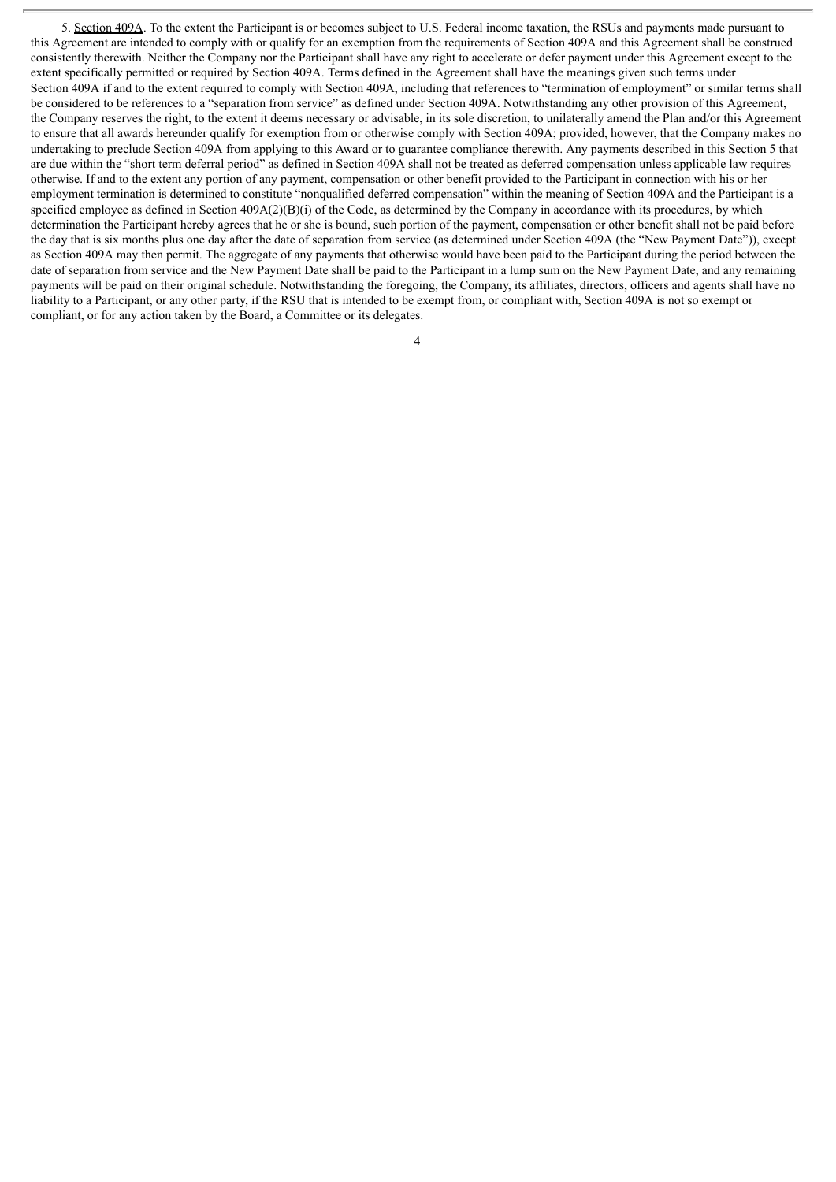5. Section 409A. To the extent the Participant is or becomes subject to U.S. Federal income taxation, the RSUs and payments made pursuant to this Agreement are intended to comply with or qualify for an exemption from the requirements of Section 409A and this Agreement shall be construed consistently therewith. Neither the Company nor the Participant shall have any right to accelerate or defer payment under this Agreement except to the extent specifically permitted or required by Section 409A. Terms defined in the Agreement shall have the meanings given such terms under Section 409A if and to the extent required to comply with Section 409A, including that references to "termination of employment" or similar terms shall be considered to be references to a "separation from service" as defined under Section 409A. Notwithstanding any other provision of this Agreement, the Company reserves the right, to the extent it deems necessary or advisable, in its sole discretion, to unilaterally amend the Plan and/or this Agreement to ensure that all awards hereunder qualify for exemption from or otherwise comply with Section 409A; provided, however, that the Company makes no undertaking to preclude Section 409A from applying to this Award or to guarantee compliance therewith. Any payments described in this Section 5 that are due within the "short term deferral period" as defined in Section 409A shall not be treated as deferred compensation unless applicable law requires otherwise. If and to the extent any portion of any payment, compensation or other benefit provided to the Participant in connection with his or her employment termination is determined to constitute "nonqualified deferred compensation" within the meaning of Section 409A and the Participant is a specified employee as defined in Section 409A(2)(B)(i) of the Code, as determined by the Company in accordance with its procedures, by which determination the Participant hereby agrees that he or she is bound, such portion of the payment, compensation or other benefit shall not be paid before the day that is six months plus one day after the date of separation from service (as determined under Section 409A (the "New Payment Date")), except as Section 409A may then permit. The aggregate of any payments that otherwise would have been paid to the Participant during the period between the date of separation from service and the New Payment Date shall be paid to the Participant in a lump sum on the New Payment Date, and any remaining payments will be paid on their original schedule. Notwithstanding the foregoing, the Company, its affiliates, directors, officers and agents shall have no liability to a Participant, or any other party, if the RSU that is intended to be exempt from, or compliant with, Section 409A is not so exempt or compliant, or for any action taken by the Board, a Committee or its delegates.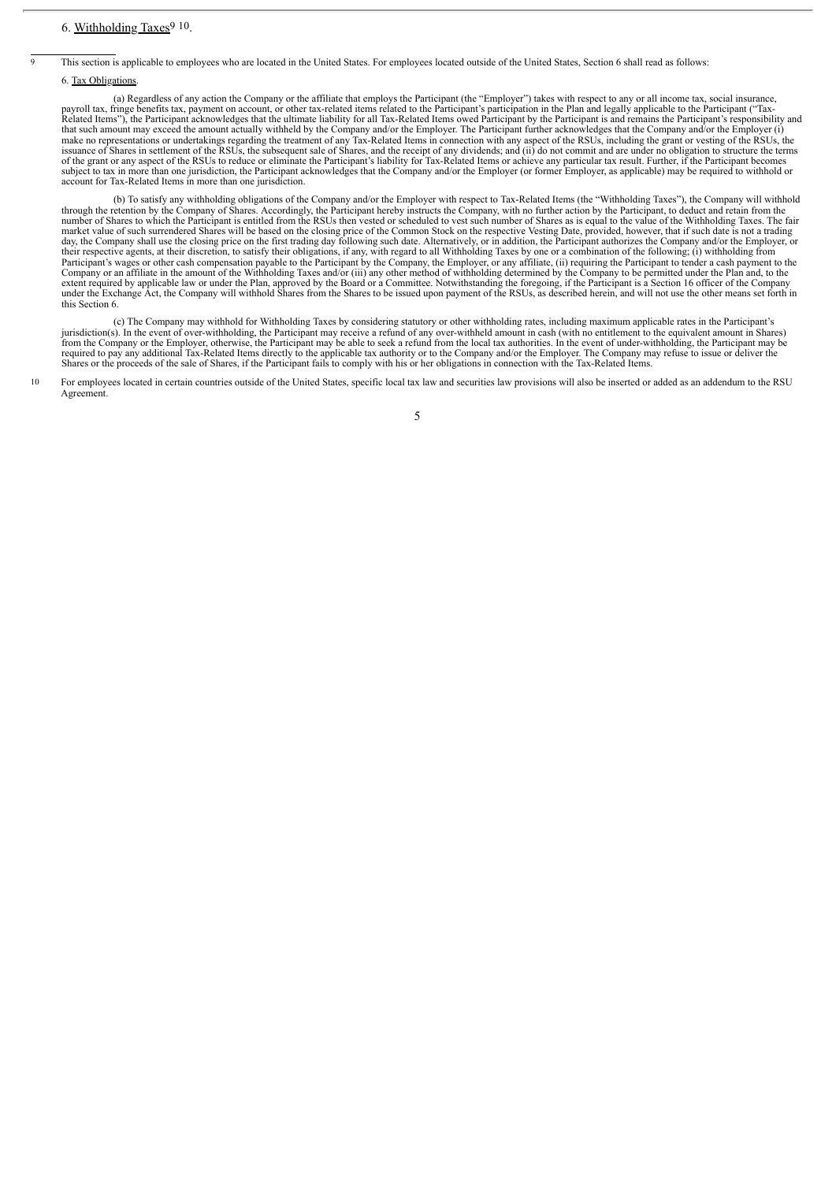This section is applicable to employees who are located in the United States. For employees located outside of the United States, Section 6 shall read as follows:

#### 6. Tax Obligations.

(a) Regardless of any action the Company or the affiliate that employs the Participant (the "Employer") takes with respect to any or all income tax, social insurance, payroll tax, fringe benefits tax, payment on account, or other tax-related items related to the Participant's participation in the Plan and legally applicable to the Participant ("Tax-<br>Related Items"), the Participant ackn that such amount may exceed the amount actually withheld by the Company and/or the Employer. The Participant further acknowledges that the Company and/or the Employer (i) make no representations or undertakings regarding the treatment of any Tax-Related Items in connection with any aspect of the RSUs, including the grant or vesting of the RSUs, he<br>issuance of Shares in settlement of the RSU of the grant or any aspect of the RSUs to reduce or eliminate the Participant's liability for Tax-Related Items or achieve any particular tax result. Further, if the Participant becomes subject to tax in more than one jurisdiction, the Participant acknowledges that the Company and/or the Employer (or former Employer, as applicable) may be required to withhold or account for Tax-Related Items in more than one jurisdiction.

(b) To satisfy any withholding obligations of the Company and/or the Employer with respect to Tax-Related Items (the "Withholding Taxes"), the Company will withhold<br>through the retention by the Company of Shares. According market value of such surrendered Shares will be based on the closing price of the Common Stock on the respective Vesting Date, provided, however, that if such date is not a trading day, the Company shall use the closing pr extent required by applicable law or under the Plan, approved by the Board or a Committee. Notwithstanding the foregoing, if the Participant is a Section 16 officer of the Company<br>under the Exchange Act, the Company will w this Section 6.

(c) The Company may withhold for Withholding Taxes by considering statutory or other withholding rates, including maximum applicable rates in the Participant's<br>jurisdiction(s). In the event of over-withholding, the Partici required to pay any additional Tax-Related Items directly to the applicable tax authority or to the Company and/or the Employer. The Company may refuse to issue or deliver the<br>Shares or the proceeds of the sale of Shares,

<sup>10</sup> For employees located in certain countries outside of the United States, specific local tax law and securities law provisions will also be inserted or added as an addendum to the RSU Agreemen

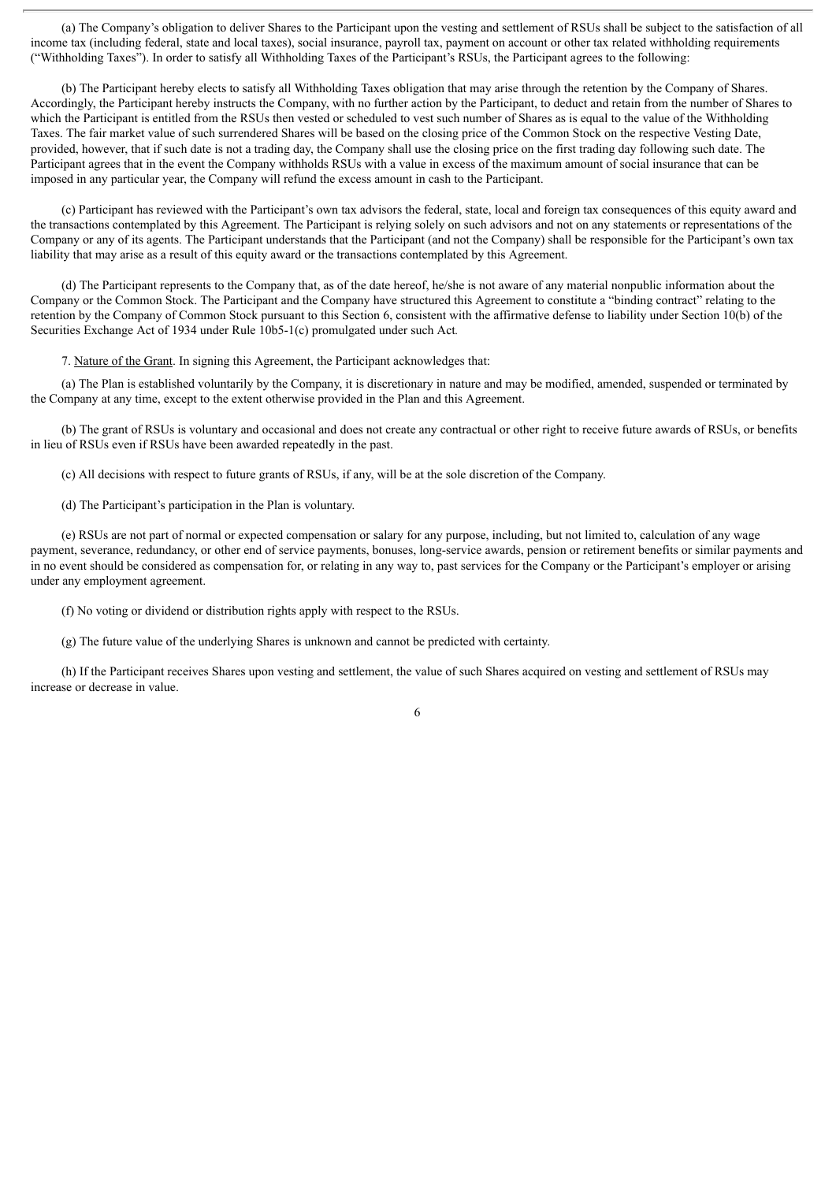(a) The Company's obligation to deliver Shares to the Participant upon the vesting and settlement of RSUs shall be subject to the satisfaction of all income tax (including federal, state and local taxes), social insurance, payroll tax, payment on account or other tax related withholding requirements ("Withholding Taxes"). In order to satisfy all Withholding Taxes of the Participant's RSUs, the Participant agrees to the following:

(b) The Participant hereby elects to satisfy all Withholding Taxes obligation that may arise through the retention by the Company of Shares. Accordingly, the Participant hereby instructs the Company, with no further action by the Participant, to deduct and retain from the number of Shares to which the Participant is entitled from the RSUs then vested or scheduled to vest such number of Shares as is equal to the value of the Withholding Taxes. The fair market value of such surrendered Shares will be based on the closing price of the Common Stock on the respective Vesting Date, provided, however, that if such date is not a trading day, the Company shall use the closing price on the first trading day following such date. The Participant agrees that in the event the Company withholds RSUs with a value in excess of the maximum amount of social insurance that can be imposed in any particular year, the Company will refund the excess amount in cash to the Participant.

(c) Participant has reviewed with the Participant's own tax advisors the federal, state, local and foreign tax consequences of this equity award and the transactions contemplated by this Agreement. The Participant is relying solely on such advisors and not on any statements or representations of the Company or any of its agents. The Participant understands that the Participant (and not the Company) shall be responsible for the Participant's own tax liability that may arise as a result of this equity award or the transactions contemplated by this Agreement.

(d) The Participant represents to the Company that, as of the date hereof, he/she is not aware of any material nonpublic information about the Company or the Common Stock. The Participant and the Company have structured this Agreement to constitute a "binding contract" relating to the retention by the Company of Common Stock pursuant to this Section 6, consistent with the affirmative defense to liability under Section 10(b) of the Securities Exchange Act of 1934 under Rule 10b5-1(c) promulgated under such Act*.*

7. Nature of the Grant. In signing this Agreement, the Participant acknowledges that:

(a) The Plan is established voluntarily by the Company, it is discretionary in nature and may be modified, amended, suspended or terminated by the Company at any time, except to the extent otherwise provided in the Plan and this Agreement.

(b) The grant of RSUs is voluntary and occasional and does not create any contractual or other right to receive future awards of RSUs, or benefits in lieu of RSUs even if RSUs have been awarded repeatedly in the past.

(c) All decisions with respect to future grants of RSUs, if any, will be at the sole discretion of the Company.

(d) The Participant's participation in the Plan is voluntary.

(e) RSUs are not part of normal or expected compensation or salary for any purpose, including, but not limited to, calculation of any wage payment, severance, redundancy, or other end of service payments, bonuses, long-service awards, pension or retirement benefits or similar payments and in no event should be considered as compensation for, or relating in any way to, past services for the Company or the Participant's employer or arising under any employment agreement.

(f) No voting or dividend or distribution rights apply with respect to the RSUs.

(g) The future value of the underlying Shares is unknown and cannot be predicted with certainty.

(h) If the Participant receives Shares upon vesting and settlement, the value of such Shares acquired on vesting and settlement of RSUs may increase or decrease in value.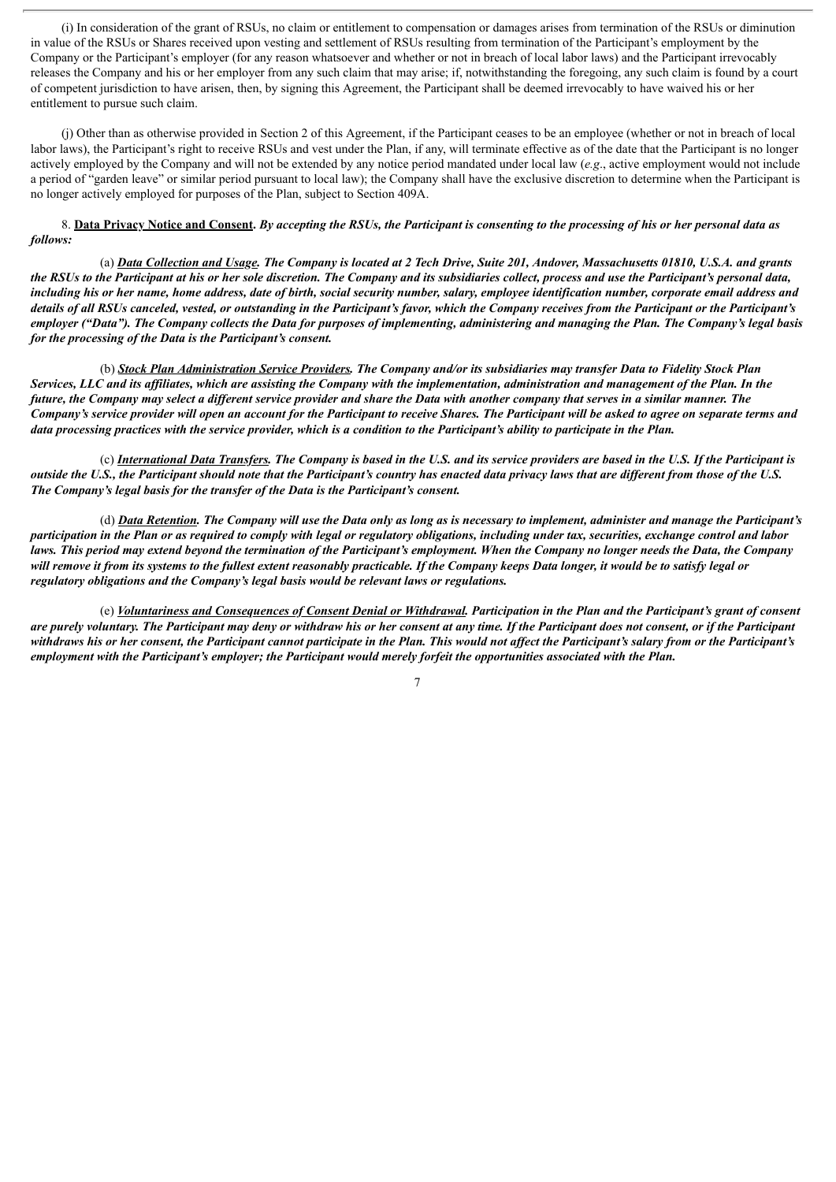(i) In consideration of the grant of RSUs, no claim or entitlement to compensation or damages arises from termination of the RSUs or diminution in value of the RSUs or Shares received upon vesting and settlement of RSUs resulting from termination of the Participant's employment by the Company or the Participant's employer (for any reason whatsoever and whether or not in breach of local labor laws) and the Participant irrevocably releases the Company and his or her employer from any such claim that may arise; if, notwithstanding the foregoing, any such claim is found by a court of competent jurisdiction to have arisen, then, by signing this Agreement, the Participant shall be deemed irrevocably to have waived his or her entitlement to pursue such claim.

(j) Other than as otherwise provided in Section 2 of this Agreement, if the Participant ceases to be an employee (whether or not in breach of local labor laws), the Participant's right to receive RSUs and vest under the Plan, if any, will terminate effective as of the date that the Participant is no longer actively employed by the Company and will not be extended by any notice period mandated under local law (*e.g*., active employment would not include a period of "garden leave" or similar period pursuant to local law); the Company shall have the exclusive discretion to determine when the Participant is no longer actively employed for purposes of the Plan, subject to Section 409A.

8. Data Privacy Notice and Consent. By accepting the RSUs, the Participant is consenting to the processing of his or her personal data as *follows:*

(a) Data Collection and Usage. The Company is located at 2 Tech Drive, Suite 201, Andover, Massachusetts 01810, U.S.A. and grants the RSUs to the Participant at his or her sole discretion. The Company and its subsidiaries collect, process and use the Participant's personal data, including his or her name, home address, date of birth, social security number, salary, employee identification number, corporate email address and details of all RSUs canceled, vested, or outstanding in the Participant's favor, which the Company receives from the Participant or the Participant's employer ("Data"). The Company collects the Data for purposes of implementing, administering and managing the Plan. The Company's legal basis *for the processing of the Data is the Participant's consent.*

(b) Stock Plan Administration Service Providers. The Company and/or its subsidiaries may transfer Data to Fidelity Stock Plan Services, LLC and its affiliates, which are assisting the Company with the implementation, administration and management of the Plan. In the future, the Company may select a different service provider and share the Data with another company that serves in a similar manner. The Company's service provider will open an account for the Participant to receive Shares. The Participant will be asked to agree on separate terms and data processing practices with the service provider, which is a condition to the Participant's ability to participate in the Plan.

(c) International Data Transfers. The Company is based in the U.S. and its service providers are based in the U.S. If the Participant is outside the U.S., the Participant should note that the Participant's country has enacted data privacy laws that are different from those of the U.S. *The Company's legal basis for the transfer of the Data is the Participant's consent.*

(d) Data Retention. The Company will use the Data only as long as is necessary to implement, administer and manage the Participant's participation in the Plan or as required to comply with legal or regulatory obligations, including under tax, securities, exchange control and labor laws. This period may extend beyond the termination of the Participant's employment. When the Company no longer needs the Data, the Company will remove it from its systems to the fullest extent reasonably practicable. If the Company keeps Data longer, it would be to satisfy legal or *regulatory obligations and the Company's legal basis would be relevant laws or regulations.*

(e) Voluntariness and Consequences of Consent Denial or Withdrawal. Participation in the Plan and the Participant's grant of consent are purely voluntary. The Participant may deny or withdraw his or her consent at any time. If the Participant does not consent, or if the Participant withdraws his or her consent, the Participant cannot participate in the Plan. This would not affect the Participant's salary from or the Participant's employment with the Participant's employer; the Participant would merely forfeit the opportunities associated with the Plan.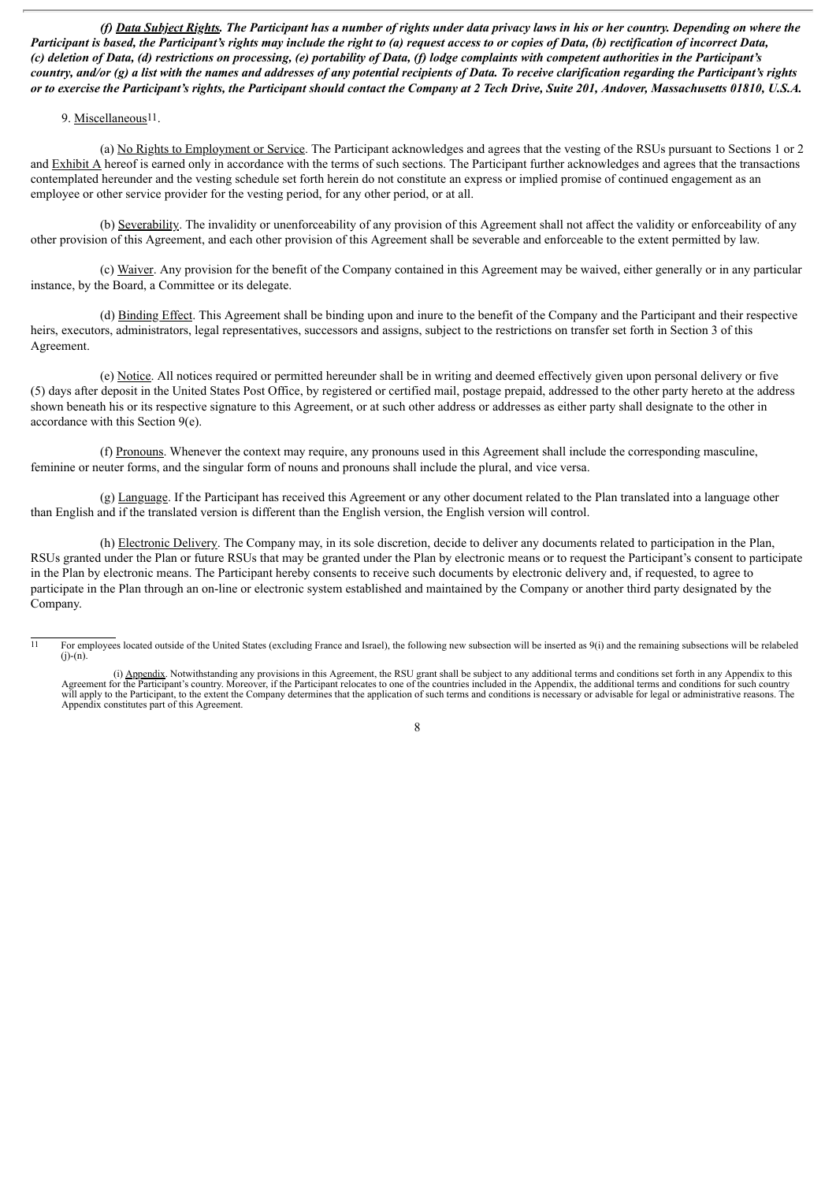(f) Data Subject Rights. The Participant has a number of rights under data privacy laws in his or her country. Depending on where the Participant is based, the Participant's rights may include the right to (a) request access to or copies of Data, (b) rectification of incorrect Data, (c) deletion of Data, (d) restrictions on processing, (e) portability of Data, (f) lodge complaints with competent authorities in the Participant's country, and/or (g) a list with the names and addresses of any potential recipients of Data. To receive clarification regarding the Participant's rights or to exercise the Participant's rights, the Participant should contact the Company at 2 Tech Drive, Suite 201, Andover, Massachusetts 01810, U.S.A.

#### 9. Miscellaneous<sup>11</sup>.

(a) No Rights to Employment or Service. The Participant acknowledges and agrees that the vesting of the RSUs pursuant to Sections 1 or 2 and Exhibit A hereof is earned only in accordance with the terms of such sections. The Participant further acknowledges and agrees that the transactions contemplated hereunder and the vesting schedule set forth herein do not constitute an express or implied promise of continued engagement as an employee or other service provider for the vesting period, for any other period, or at all.

(b) Severability. The invalidity or unenforceability of any provision of this Agreement shall not affect the validity or enforceability of any other provision of this Agreement, and each other provision of this Agreement shall be severable and enforceable to the extent permitted by law.

(c) Waiver. Any provision for the benefit of the Company contained in this Agreement may be waived, either generally or in any particular instance, by the Board, a Committee or its delegate.

(d) Binding Effect. This Agreement shall be binding upon and inure to the benefit of the Company and the Participant and their respective heirs, executors, administrators, legal representatives, successors and assigns, subject to the restrictions on transfer set forth in Section 3 of this Agreement.

(e) Notice. All notices required or permitted hereunder shall be in writing and deemed effectively given upon personal delivery or five (5) days after deposit in the United States Post Office, by registered or certified mail, postage prepaid, addressed to the other party hereto at the address shown beneath his or its respective signature to this Agreement, or at such other address or addresses as either party shall designate to the other in accordance with this Section 9(e).

(f) Pronouns. Whenever the context may require, any pronouns used in this Agreement shall include the corresponding masculine, feminine or neuter forms, and the singular form of nouns and pronouns shall include the plural, and vice versa.

(g) Language. If the Participant has received this Agreement or any other document related to the Plan translated into a language other than English and if the translated version is different than the English version, the English version will control.

(h) Electronic Delivery. The Company may, in its sole discretion, decide to deliver any documents related to participation in the Plan, RSUs granted under the Plan or future RSUs that may be granted under the Plan by electronic means or to request the Participant's consent to participate in the Plan by electronic means. The Participant hereby consents to receive such documents by electronic delivery and, if requested, to agree to participate in the Plan through an on-line or electronic system established and maintained by the Company or another third party designated by the Company.

<sup>&</sup>lt;sup>11</sup> For employees located outside of the United States (excluding France and Israel), the following new subsection will be inserted as 9(i) and the remaining subsections will be relabeled  $(i)-(n)$ .

<sup>(</sup>i) Appendix. Notwithstanding any provisions in this Agreement, the RSU grant shall be subject to any additional terms and conditions set forth in any Appendix to this Agreement for the Participant's country. Moreover, if the Participant relocates to one of the countries included in the Appendix, the additional terms and conditions for such country will apply to the Participant, to the extent the Company determines that the application of such terms and conditions is necessary or advisable for legal or administrative reasons. The Appendix constitutes part of this Agreement.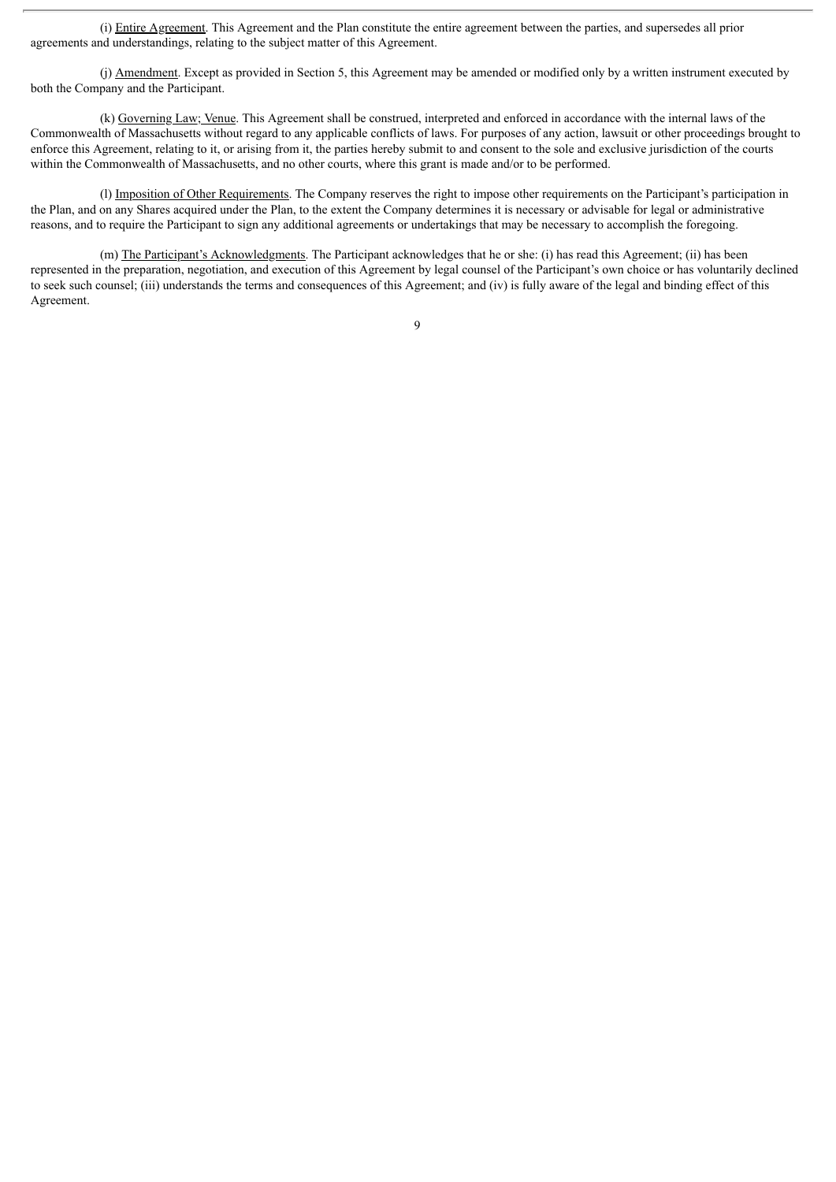(i) Entire Agreement. This Agreement and the Plan constitute the entire agreement between the parties, and supersedes all prior agreements and understandings, relating to the subject matter of this Agreement.

(j) Amendment. Except as provided in Section 5, this Agreement may be amended or modified only by a written instrument executed by both the Company and the Participant.

(k) Governing Law; Venue. This Agreement shall be construed, interpreted and enforced in accordance with the internal laws of the Commonwealth of Massachusetts without regard to any applicable conflicts of laws. For purposes of any action, lawsuit or other proceedings brought to enforce this Agreement, relating to it, or arising from it, the parties hereby submit to and consent to the sole and exclusive jurisdiction of the courts within the Commonwealth of Massachusetts, and no other courts, where this grant is made and/or to be performed.

(l) Imposition of Other Requirements. The Company reserves the right to impose other requirements on the Participant's participation in the Plan, and on any Shares acquired under the Plan, to the extent the Company determines it is necessary or advisable for legal or administrative reasons, and to require the Participant to sign any additional agreements or undertakings that may be necessary to accomplish the foregoing.

(m) The Participant's Acknowledgments. The Participant acknowledges that he or she: (i) has read this Agreement; (ii) has been represented in the preparation, negotiation, and execution of this Agreement by legal counsel of the Participant's own choice or has voluntarily declined to seek such counsel; (iii) understands the terms and consequences of this Agreement; and (iv) is fully aware of the legal and binding effect of this Agreement.